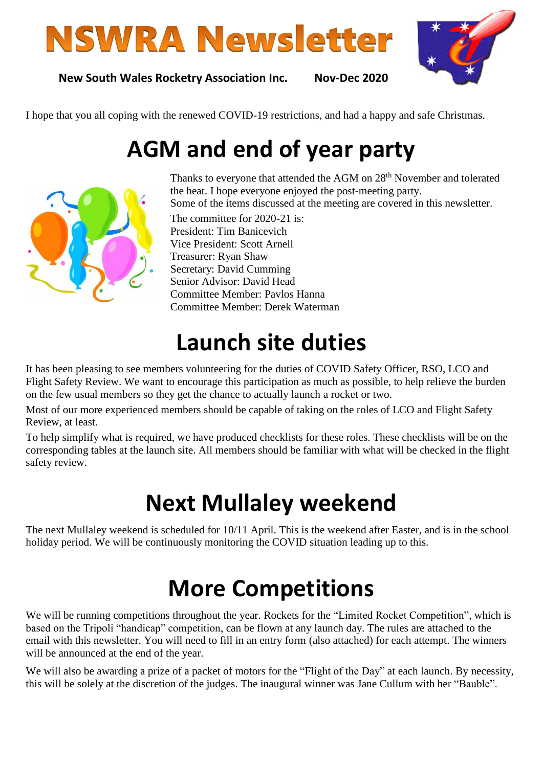# **NSWRA Newsletter**



**New South Wales Rocketry Association Inc. Nov-Dec 2020**

I hope that you all coping with the renewed COVID-19 restrictions, and had a happy and safe Christmas. 

# **AGM and end of year party**



Thanks to everyone that attended the AGM on 28<sup>th</sup> November and tolerated the heat. I hope everyone enjoyed the post-meeting party. Some of the items discussed at the meeting are covered in this newsletter.

The committee for 2020-21 is: President: Tim Banicevich Vice President: Scott Arnell Treasurer: Ryan Shaw Secretary: David Cumming Senior Advisor: David Head Committee Member: Pavlos Hanna Committee Member: Derek Waterman

## **Launch site duties**

It has been pleasing to see members volunteering for the duties of COVID Safety Officer, RSO, LCO and Flight Safety Review. We want to encourage this participation as much as possible, to help relieve the burden on the few usual members so they get the chance to actually launch a rocket or two.

Most of our more experienced members should be capable of taking on the roles of LCO and Flight Safety Review, at least.

To help simplify what is required, we have produced checklists for these roles. These checklists will be on the corresponding tables at the launch site. All members should be familiar with what will be checked in the flight safety review.

## **Next Mullaley weekend**

The next Mullaley weekend is scheduled for 10/11 April. This is the weekend after Easter, and is in the school holiday period. We will be continuously monitoring the COVID situation leading up to this.

# **More Competitions**

We will be running competitions throughout the year. Rockets for the "Limited Rocket Competition", which is based on the Tripoli "handicap" competition, can be flown at any launch day. The rules are attached to the email with this newsletter. You will need to fill in an entry form (also attached) for each attempt. The winners will be announced at the end of the year.

We will also be awarding a prize of a packet of motors for the "Flight of the Day" at each launch. By necessity, this will be solely at the discretion of the judges. The inaugural winner was Jane Cullum with her "Bauble".